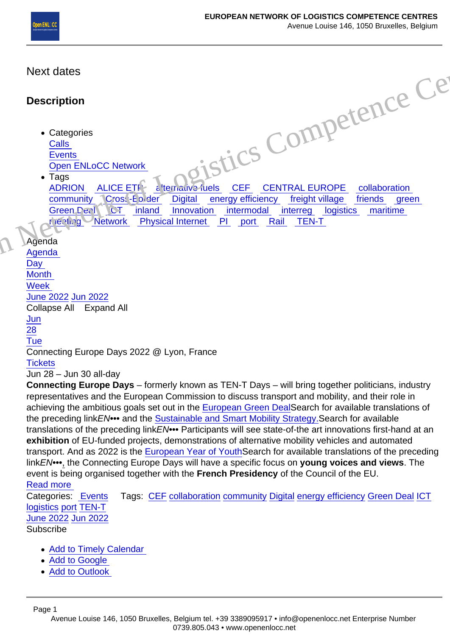# Next dates

## **Description**

- Categories **Calls Events** Open ENLoCC Network
- Tags ADRION ALICE ETP britance fuels CEF CENTRAL EUROPE collaboration community Cross-Border Digital energy efficiency freight village friends green Green Deal UCT inland Innovation intermodal interreg logistics maritime meeting Network Physical Internet PI port Rail TEN-T Gistics Compete[n](/web/htdocs/www.openenlocc.net/home/)ce

### Agenda

Agenda **Day Month** Week June 2022 Jun 2022 Collapse All Expand All [Jun](/web/htdocs/www.openenlocc.net/home/) 28 Tue Connecting Europe Days 2022 @ Lyon, France **Tickets** 

### Jun 28 – Jun 30 all-day

[Connecting Europe Days – formerly known as TEN-T Days – will bring together politicians, industry](https://www.openenlocc.net/event/connecting-europe-days-2022/?instance_id=23) representatives and the European Commission to discuss transport and mobility, and their role in achieving the ambitious goals set out in the [European Green DealS](https://ec.europa.eu/info/strategy/priorities-2019-2024/european-green-deal_en)earch for available translations of the preceding linkEN••• and the [Sustainable and Smart Mobility Strategy.S](https://transport.ec.europa.eu/transport-themes/mobility-strategy_en)earch for available translations of the preceding linkEN••• Participants will see state-of-the art innovations first-hand at an exhibition of EU-funded projects, demonstrations of alternative mobility vehicles and automated transport. And as 2022 is the [European Year of YouthS](https://europa.eu/youth/year-of-youth_en)earch for available translations of the preceding linkEN•••, the Connecting Europe Days will have a specific focus on young voices and views . The event is being organised together with the French Presidency of the Council of the EU. [Read more](https://www.openenlocc.net/event/connecting-europe-days-2022/?instance_id=23) 

#### Categories: [Events](/web/htdocs/www.openenlocc.net/home/) Tags: [CEF](/web/htdocs/www.openenlocc.net/home/) [collaboration](/web/htdocs/www.openenlocc.net/home/) [community](/web/htdocs/www.openenlocc.net/home/) [Digital](/web/htdocs/www.openenlocc.net/home/) [energy efficiency](/web/htdocs/www.openenlocc.net/home/) [Green Deal](/web/htdocs/www.openenlocc.net/home/) [ICT](/web/htdocs/www.openenlocc.net/home/) logistics [port](/web/htdocs/www.openenlocc.net/home/) [TEN-T](/web/htdocs/www.openenlocc.net/home/) June 2022 Jun 2022 Subscribe

- Add to Timely Calendar
- [Add to Google](https://www.google.com/calendar/render?cid=http://www.openenlocc.net/?plugin=all-in-one-event-calendar&controller=ai1ec_exporter_controller&action=export_events&no_html=true&&)
- [Add to Outlook](webcal://www.openenlocc.net/?plugin=all-in-one-event-calendar&controller=ai1ec_exporter_controller&action=export_events&no_html=true)

Page 1